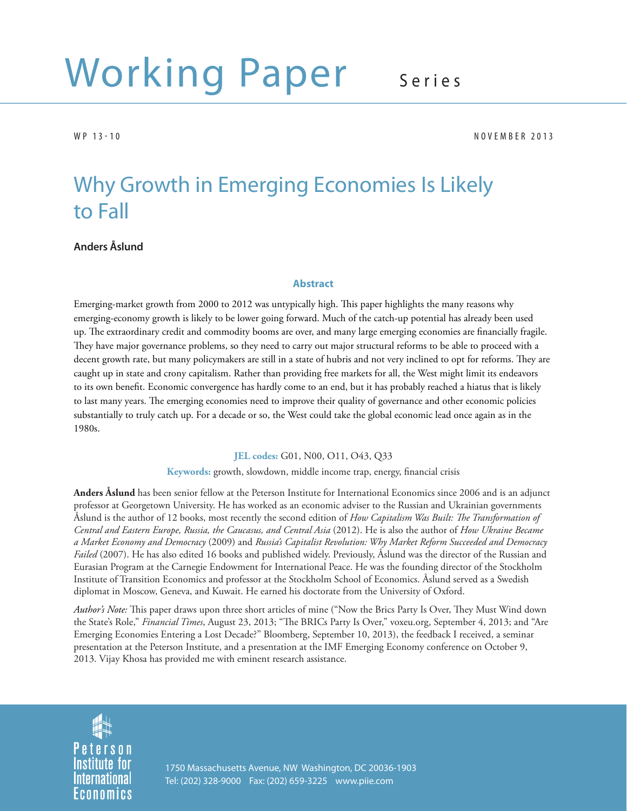# Working Paper Series

WP 13-10 NOVEMBER 2013

# Why Growth in Emerging Economies Is Likely to Fall

## **Anders Åslund**

#### **Abstract**

Emerging-market growth from 2000 to 2012 was untypically high. This paper highlights the many reasons why emerging-economy growth is likely to be lower going forward. Much of the catch-up potential has already been used up. The extraordinary credit and commodity booms are over, and many large emerging economies are financially fragile. They have major governance problems, so they need to carry out major structural reforms to be able to proceed with a decent growth rate, but many policymakers are still in a state of hubris and not very inclined to opt for reforms. They are caught up in state and crony capitalism. Rather than providing free markets for all, the West might limit its endeavors to its own benefit. Economic convergence has hardly come to an end, but it has probably reached a hiatus that is likely to last many years. The emerging economies need to improve their quality of governance and other economic policies substantially to truly catch up. For a decade or so, the West could take the global economic lead once again as in the 1980s.

#### **JEL codes:** G01, N00, O11, O43, Q33

Keywords: growth, slowdown, middle income trap, energy, financial crisis

**Anders Åslund** has been senior fellow at the Peterson Institute for International Economics since 2006 and is an adjunct professor at Georgetown University. He has worked as an economic adviser to the Russian and Ukrainian governments Åslund is the author of 12 books, most recently the second edition of *How Capitalism Was Built: The Transformation of Central and Eastern Europe, Russia, the Caucasus, and Central Asia* (2012). He is also the author of *How Ukraine Became a Market Economy and Democracy* (2009) and *Russia's Capitalist Revolution: Why Market Reform Succeeded and Democracy Failed* (2007). He has also edited 16 books and published widely. Previously, Åslund was the director of the Russian and Eurasian Program at the Carnegie Endowment for International Peace. He was the founding director of the Stockholm Institute of Transition Economics and professor at the Stockholm School of Economics. Åslund served as a Swedish diplomat in Moscow, Geneva, and Kuwait. He earned his doctorate from the University of Oxford.

*Author's Note:* This paper draws upon three short articles of mine ("Now the Brics Party Is Over, They Must Wind down the State's Role," *Financial Times*, August 23, 2013; "The BRICs Party Is Over," voxeu.org, September 4, 2013; and "Are Emerging Economies Entering a Lost Decade?" Bloomberg, September 10, 2013), the feedback I received, a seminar presentation at the Peterson Institute, and a presentation at the IMF Emerging Economy conference on October 9, 2013. Vijay Khosa has provided me with eminent research assistance.

Peterson **Institute for International** Economics

1750 Massachusetts Avenue, NW Washington, DC 20036-1903 Tel: (202) 328-9000 Fax: (202) 659-3225 www.piie.com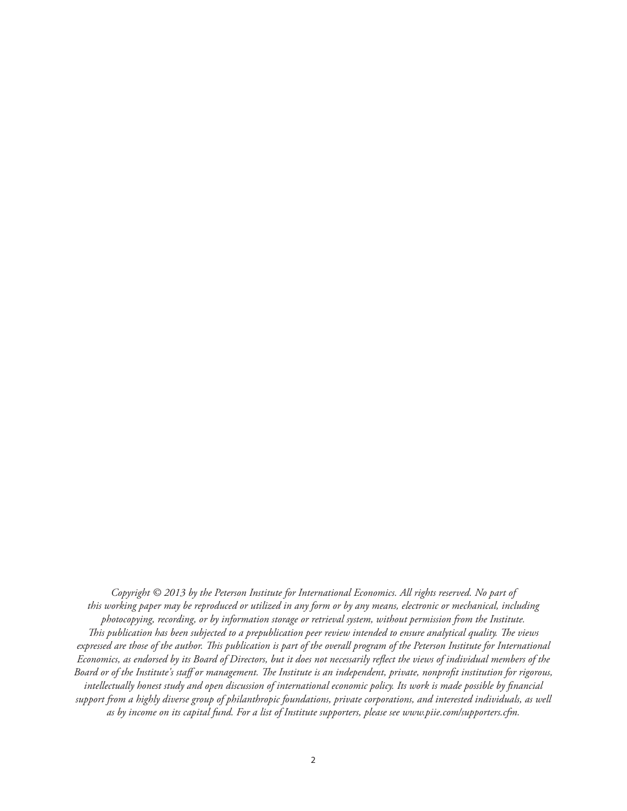*Copyright © 2013 by the Peterson Institute for International Economics. All rights reserved. No part of this working paper may be reproduced or utilized in any form or by any means, electronic or mechanical, including photocopying, recording, or by information storage or retrieval system, without permission from the Institute. This publication has been subjected to a prepublication peer review intended to ensure analytical quality. The views* expressed are those of the author. This publication is part of the overall program of the Peterson Institute for International *Economics, as endorsed by its Board of Directors, but it does not necessarily reflect the views of individual members of the* Board or of the Institute's staff or management. The Institute is an independent, private, nonprofit institution for rigorous, *intellectually honest study and open discussion of international economic policy. Its work is made possible by financial support from a highly diverse group of philanthropic foundations, private corporations, and interested individuals, as well as by income on its capital fund. For a list of Institute supporters, please see www.piie.com/supporters.cfm.*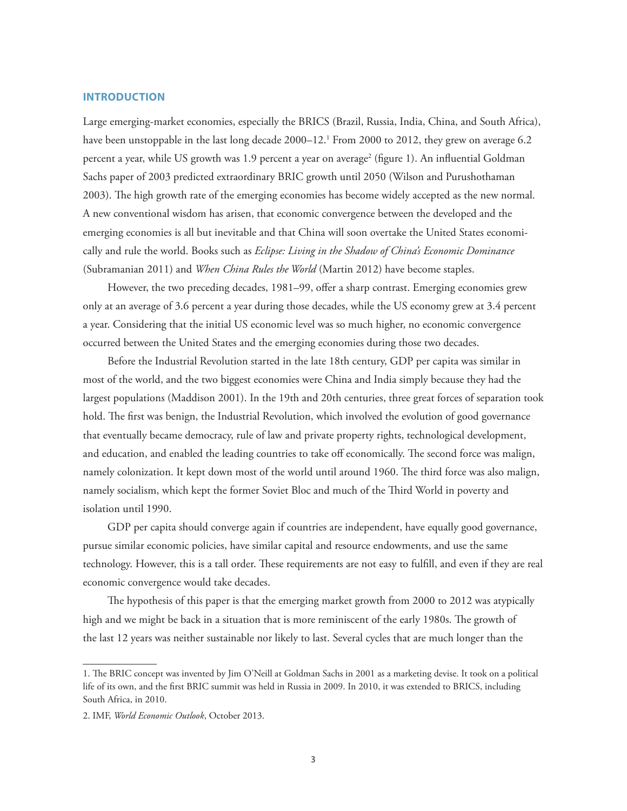#### **INTRODUCTION**

Large emerging-market economies, especially the BRICS (Brazil, Russia, India, China, and South Africa), have been unstoppable in the last long decade 2000–12.<sup>1</sup> From 2000 to 2012, they grew on average 6.2 percent a year, while US growth was 1.9 percent a year on average<sup>2</sup> (figure 1). An influential Goldman Sachs paper of 2003 predicted extraordinary BRIC growth until 2050 (Wilson and Purushothaman 2003). The high growth rate of the emerging economies has become widely accepted as the new normal. A new conventional wisdom has arisen, that economic convergence between the developed and the emerging economies is all but inevitable and that China will soon overtake the United States economically and rule the world. Books such as *Eclipse: Living in the Shadow of China's Economic Dominance* (Subramanian 2011) and *When China Rules the World* (Martin 2012) have become staples.

However, the two preceding decades, 1981–99, offer a sharp contrast. Emerging economies grew only at an average of 3.6 percent a year during those decades, while the US economy grew at 3.4 percent a year. Considering that the initial US economic level was so much higher, no economic convergence occurred between the United States and the emerging economies during those two decades.

Before the Industrial Revolution started in the late 18th century, GDP per capita was similar in most of the world, and the two biggest economies were China and India simply because they had the largest populations (Maddison 2001). In the 19th and 20th centuries, three great forces of separation took hold. The first was benign, the Industrial Revolution, which involved the evolution of good governance that eventually became democracy, rule of law and private property rights, technological development, and education, and enabled the leading countries to take off economically. The second force was malign, namely colonization. It kept down most of the world until around 1960. The third force was also malign, namely socialism, which kept the former Soviet Bloc and much of the Third World in poverty and isolation until 1990.

GDP per capita should converge again if countries are independent, have equally good governance, pursue similar economic policies, have similar capital and resource endowments, and use the same technology. However, this is a tall order. These requirements are not easy to fulfill, and even if they are real economic convergence would take decades.

The hypothesis of this paper is that the emerging market growth from 2000 to 2012 was atypically high and we might be back in a situation that is more reminiscent of the early 1980s. The growth of the last 12 years was neither sustainable nor likely to last. Several cycles that are much longer than the

<sup>1.</sup> The BRIC concept was invented by Jim O'Neill at Goldman Sachs in 2001 as a marketing devise. It took on a political life of its own, and the first BRIC summit was held in Russia in 2009. In 2010, it was extended to BRICS, including South Africa, in 2010.

<sup>2.</sup> IMF, *World Economic Outlook*, October 2013.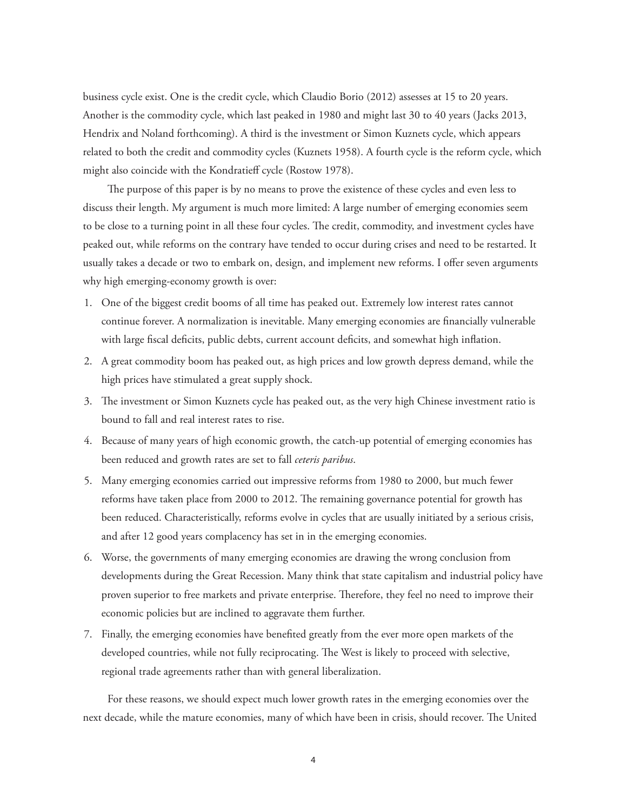business cycle exist. One is the credit cycle, which Claudio Borio (2012) assesses at 15 to 20 years. Another is the commodity cycle, which last peaked in 1980 and might last 30 to 40 years (Jacks 2013, Hendrix and Noland forthcoming). A third is the investment or Simon Kuznets cycle, which appears related to both the credit and commodity cycles (Kuznets 1958). A fourth cycle is the reform cycle, which might also coincide with the Kondratieff cycle (Rostow 1978).

The purpose of this paper is by no means to prove the existence of these cycles and even less to discuss their length. My argument is much more limited: A large number of emerging economies seem to be close to a turning point in all these four cycles. The credit, commodity, and investment cycles have peaked out, while reforms on the contrary have tended to occur during crises and need to be restarted. It usually takes a decade or two to embark on, design, and implement new reforms. I offer seven arguments why high emerging-economy growth is over:

- 1. One of the biggest credit booms of all time has peaked out. Extremely low interest rates cannot continue forever. A normalization is inevitable. Many emerging economies are financially vulnerable with large fiscal deficits, public debts, current account deficits, and somewhat high inflation.
- 2. A great commodity boom has peaked out, as high prices and low growth depress demand, while the high prices have stimulated a great supply shock.
- 3. The investment or Simon Kuznets cycle has peaked out, as the very high Chinese investment ratio is bound to fall and real interest rates to rise.
- 4. Because of many years of high economic growth, the catch-up potential of emerging economies has been reduced and growth rates are set to fall *ceteris paribus*.
- 5. Many emerging economies carried out impressive reforms from 1980 to 2000, but much fewer reforms have taken place from 2000 to 2012. The remaining governance potential for growth has been reduced. Characteristically, reforms evolve in cycles that are usually initiated by a serious crisis, and after 12 good years complacency has set in in the emerging economies.
- 6. Worse, the governments of many emerging economies are drawing the wrong conclusion from developments during the Great Recession. Many think that state capitalism and industrial policy have proven superior to free markets and private enterprise. Therefore, they feel no need to improve their economic policies but are inclined to aggravate them further.
- 7. Finally, the emerging economies have benefited greatly from the ever more open markets of the developed countries, while not fully reciprocating. The West is likely to proceed with selective, regional trade agreements rather than with general liberalization.

For these reasons, we should expect much lower growth rates in the emerging economies over the next decade, while the mature economies, many of which have been in crisis, should recover. The United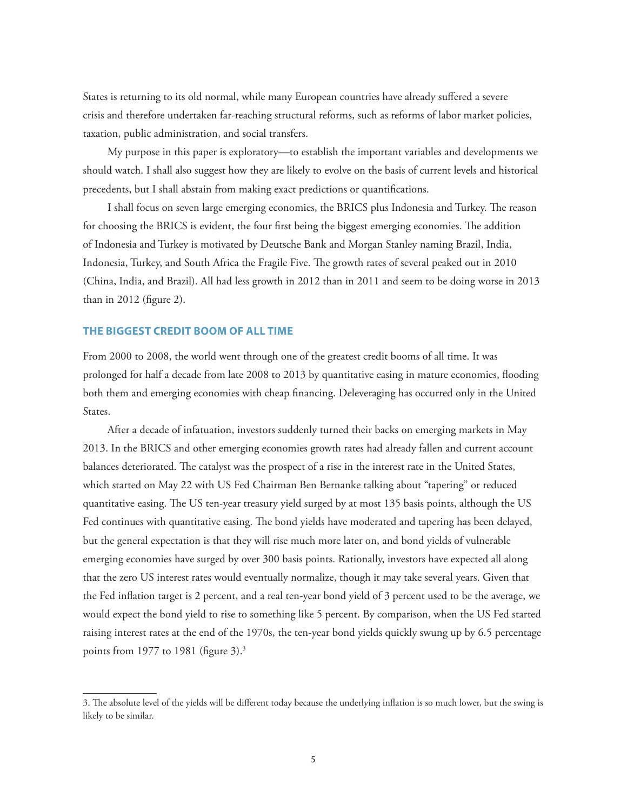States is returning to its old normal, while many European countries have already suffered a severe crisis and therefore undertaken far-reaching structural reforms, such as reforms of labor market policies, taxation, public administration, and social transfers.

My purpose in this paper is exploratory—to establish the important variables and developments we should watch. I shall also suggest how they are likely to evolve on the basis of current levels and historical precedents, but I shall abstain from making exact predictions or quantifications.

I shall focus on seven large emerging economies, the BRICS plus Indonesia and Turkey. The reason for choosing the BRICS is evident, the four first being the biggest emerging economies. The addition of Indonesia and Turkey is motivated by Deutsche Bank and Morgan Stanley naming Brazil, India, Indonesia, Turkey, and South Africa the Fragile Five. The growth rates of several peaked out in 2010 (China, India, and Brazil). All had less growth in 2012 than in 2011 and seem to be doing worse in 2013 than in  $2012$  (figure 2).

#### **THE BIGGEST CREDIT BOOM OF ALL TIME**

From 2000 to 2008, the world went through one of the greatest credit booms of all time. It was prolonged for half a decade from late 2008 to 2013 by quantitative easing in mature economies, flooding both them and emerging economies with cheap financing. Deleveraging has occurred only in the United States.

After a decade of infatuation, investors suddenly turned their backs on emerging markets in May 2013. In the BRICS and other emerging economies growth rates had already fallen and current account balances deteriorated. The catalyst was the prospect of a rise in the interest rate in the United States, which started on May 22 with US Fed Chairman Ben Bernanke talking about "tapering" or reduced quantitative easing. The US ten-year treasury yield surged by at most 135 basis points, although the US Fed continues with quantitative easing. The bond yields have moderated and tapering has been delayed, but the general expectation is that they will rise much more later on, and bond yields of vulnerable emerging economies have surged by over 300 basis points. Rationally, investors have expected all along that the zero US interest rates would eventually normalize, though it may take several years. Given that the Fed infl ation target is 2 percent, and a real ten-year bond yield of 3 percent used to be the average, we would expect the bond yield to rise to something like 5 percent. By comparison, when the US Fed started raising interest rates at the end of the 1970s, the ten-year bond yields quickly swung up by 6.5 percentage points from 1977 to 1981 (figure  $3$ ).<sup>3</sup>

<sup>3.</sup> The absolute level of the yields will be different today because the underlying inflation is so much lower, but the swing is likely to be similar.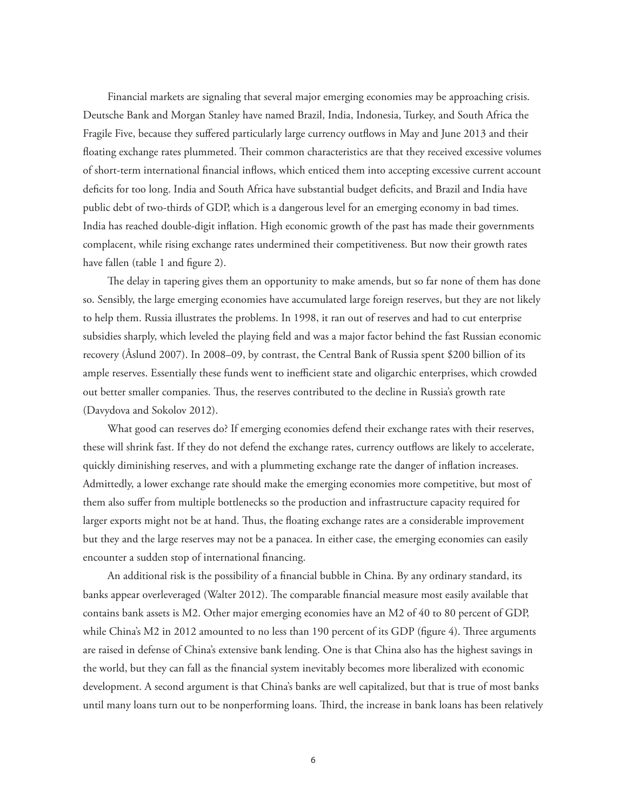Financial markets are signaling that several major emerging economies may be approaching crisis. Deutsche Bank and Morgan Stanley have named Brazil, India, Indonesia, Turkey, and South Africa the Fragile Five, because they suffered particularly large currency outflows in May and June 2013 and their floating exchange rates plummeted. Their common characteristics are that they received excessive volumes of short-term international financial inflows, which enticed them into accepting excessive current account deficits for too long. India and South Africa have substantial budget deficits, and Brazil and India have public debt of two-thirds of GDP, which is a dangerous level for an emerging economy in bad times. India has reached double-digit inflation. High economic growth of the past has made their governments complacent, while rising exchange rates undermined their competitiveness. But now their growth rates have fallen (table 1 and figure 2).

The delay in tapering gives them an opportunity to make amends, but so far none of them has done so. Sensibly, the large emerging economies have accumulated large foreign reserves, but they are not likely to help them. Russia illustrates the problems. In 1998, it ran out of reserves and had to cut enterprise subsidies sharply, which leveled the playing field and was a major factor behind the fast Russian economic recovery (Åslund 2007). In 2008–09, by contrast, the Central Bank of Russia spent \$200 billion of its ample reserves. Essentially these funds went to inefficient state and oligarchic enterprises, which crowded out better smaller companies. Thus, the reserves contributed to the decline in Russia's growth rate (Davydova and Sokolov 2012).

What good can reserves do? If emerging economies defend their exchange rates with their reserves, these will shrink fast. If they do not defend the exchange rates, currency outflows are likely to accelerate, quickly diminishing reserves, and with a plummeting exchange rate the danger of inflation increases. Admittedly, a lower exchange rate should make the emerging economies more competitive, but most of them also suffer from multiple bottlenecks so the production and infrastructure capacity required for larger exports might not be at hand. Thus, the floating exchange rates are a considerable improvement but they and the large reserves may not be a panacea. In either case, the emerging economies can easily encounter a sudden stop of international financing.

An additional risk is the possibility of a financial bubble in China. By any ordinary standard, its banks appear overleveraged (Walter 2012). The comparable financial measure most easily available that contains bank assets is M2. Other major emerging economies have an M2 of 40 to 80 percent of GDP, while China's M2 in 2012 amounted to no less than 190 percent of its GDP (figure 4). Three arguments are raised in defense of China's extensive bank lending. One is that China also has the highest savings in the world, but they can fall as the financial system inevitably becomes more liberalized with economic development. A second argument is that China's banks are well capitalized, but that is true of most banks until many loans turn out to be nonperforming loans. Third, the increase in bank loans has been relatively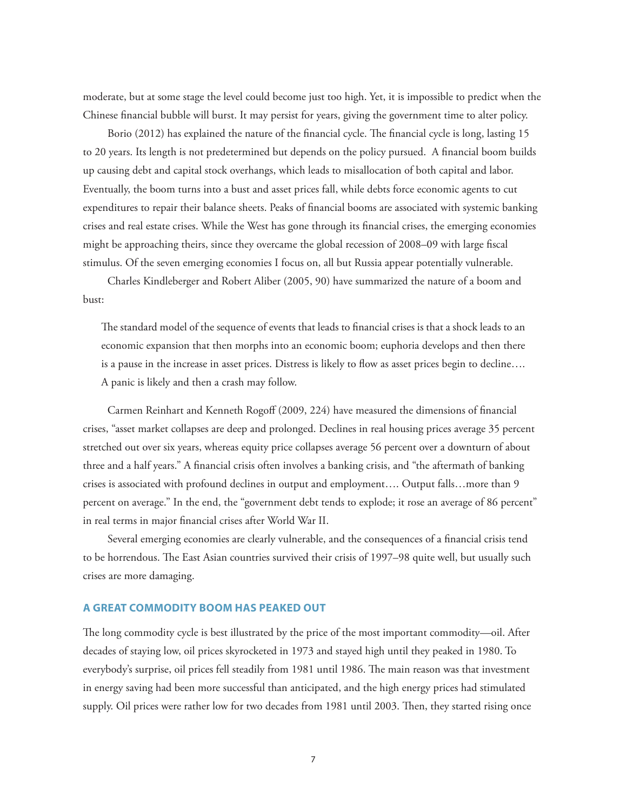moderate, but at some stage the level could become just too high. Yet, it is impossible to predict when the Chinese financial bubble will burst. It may persist for years, giving the government time to alter policy.

Borio (2012) has explained the nature of the financial cycle. The financial cycle is long, lasting 15 to 20 years. Its length is not predetermined but depends on the policy pursued. A financial boom builds up causing debt and capital stock overhangs, which leads to misallocation of both capital and labor. Eventually, the boom turns into a bust and asset prices fall, while debts force economic agents to cut expenditures to repair their balance sheets. Peaks of financial booms are associated with systemic banking crises and real estate crises. While the West has gone through its financial crises, the emerging economies might be approaching theirs, since they overcame the global recession of 2008–09 with large fiscal stimulus. Of the seven emerging economies I focus on, all but Russia appear potentially vulnerable.

Charles Kindleberger and Robert Aliber (2005, 90) have summarized the nature of a boom and bust:

The standard model of the sequence of events that leads to financial crises is that a shock leads to an economic expansion that then morphs into an economic boom; euphoria develops and then there is a pause in the increase in asset prices. Distress is likely to flow as asset prices begin to decline.... A panic is likely and then a crash may follow.

Carmen Reinhart and Kenneth Rogoff (2009, 224) have measured the dimensions of financial crises, "asset market collapses are deep and prolonged. Declines in real housing prices average 35 percent stretched out over six years, whereas equity price collapses average 56 percent over a downturn of about three and a half years." A financial crisis often involves a banking crisis, and "the aftermath of banking crises is associated with profound declines in output and employment…. Output falls…more than 9 percent on average." In the end, the "government debt tends to explode; it rose an average of 86 percent" in real terms in major financial crises after World War II.

Several emerging economies are clearly vulnerable, and the consequences of a financial crisis tend to be horrendous. The East Asian countries survived their crisis of 1997–98 quite well, but usually such crises are more damaging.

#### **A GREAT COMMODITY BOOM HAS PEAKED OUT**

The long commodity cycle is best illustrated by the price of the most important commodity—oil. After decades of staying low, oil prices skyrocketed in 1973 and stayed high until they peaked in 1980. To everybody's surprise, oil prices fell steadily from 1981 until 1986. The main reason was that investment in energy saving had been more successful than anticipated, and the high energy prices had stimulated supply. Oil prices were rather low for two decades from 1981 until 2003. Then, they started rising once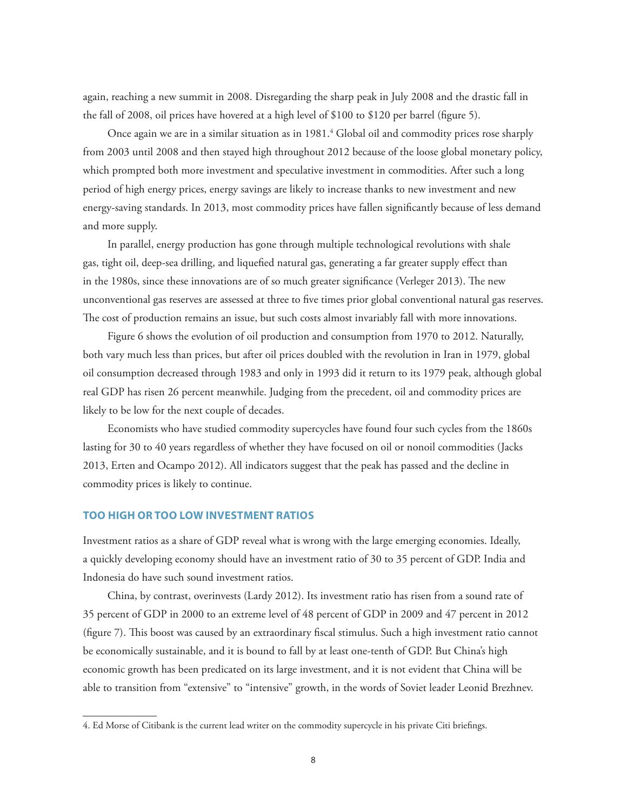again, reaching a new summit in 2008. Disregarding the sharp peak in July 2008 and the drastic fall in the fall of 2008, oil prices have hovered at a high level of \$100 to \$120 per barrel (figure 5).

Once again we are in a similar situation as in 1981.<sup>4</sup> Global oil and commodity prices rose sharply from 2003 until 2008 and then stayed high throughout 2012 because of the loose global monetary policy, which prompted both more investment and speculative investment in commodities. After such a long period of high energy prices, energy savings are likely to increase thanks to new investment and new energy-saving standards. In 2013, most commodity prices have fallen significantly because of less demand and more supply.

In parallel, energy production has gone through multiple technological revolutions with shale gas, tight oil, deep-sea drilling, and liquefied natural gas, generating a far greater supply effect than in the 1980s, since these innovations are of so much greater significance (Verleger 2013). The new unconventional gas reserves are assessed at three to five times prior global conventional natural gas reserves. The cost of production remains an issue, but such costs almost invariably fall with more innovations.

Figure 6 shows the evolution of oil production and consumption from 1970 to 2012. Naturally, both vary much less than prices, but after oil prices doubled with the revolution in Iran in 1979, global oil consumption decreased through 1983 and only in 1993 did it return to its 1979 peak, although global real GDP has risen 26 percent meanwhile. Judging from the precedent, oil and commodity prices are likely to be low for the next couple of decades.

Economists who have studied commodity supercycles have found four such cycles from the 1860s lasting for 30 to 40 years regardless of whether they have focused on oil or nonoil commodities (Jacks 2013, Erten and Ocampo 2012). All indicators suggest that the peak has passed and the decline in commodity prices is likely to continue.

#### **TOO HIGH OR TOO LOW INVESTMENT RATIOS**

Investment ratios as a share of GDP reveal what is wrong with the large emerging economies. Ideally, a quickly developing economy should have an investment ratio of 30 to 35 percent of GDP. India and Indonesia do have such sound investment ratios.

China, by contrast, overinvests (Lardy 2012). Its investment ratio has risen from a sound rate of 35 percent of GDP in 2000 to an extreme level of 48 percent of GDP in 2009 and 47 percent in 2012 (figure 7). This boost was caused by an extraordinary fiscal stimulus. Such a high investment ratio cannot be economically sustainable, and it is bound to fall by at least one-tenth of GDP. But China's high economic growth has been predicated on its large investment, and it is not evident that China will be able to transition from "extensive" to "intensive" growth, in the words of Soviet leader Leonid Brezhnev.

<sup>4.</sup> Ed Morse of Citibank is the current lead writer on the commodity supercycle in his private Citi briefings.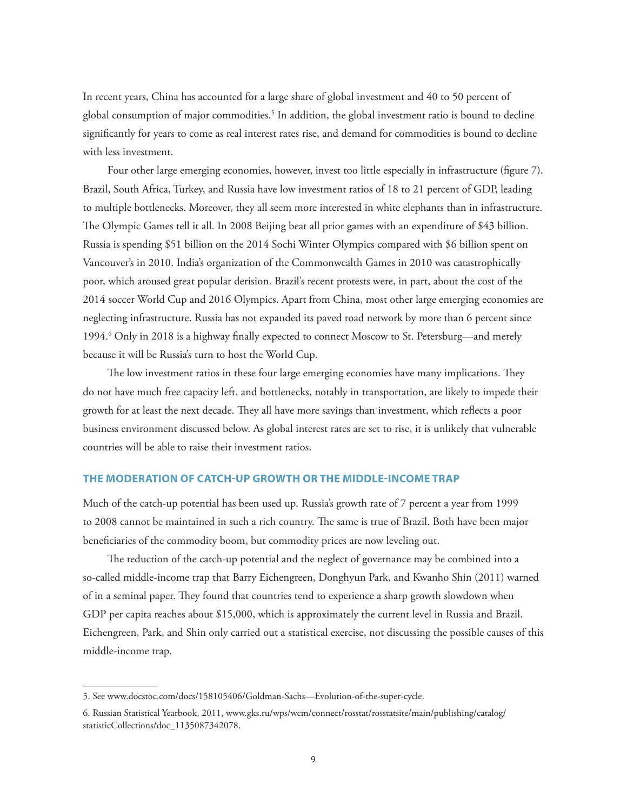In recent years, China has accounted for a large share of global investment and 40 to 50 percent of global consumption of major commodities.<sup>5</sup> In addition, the global investment ratio is bound to decline significantly for years to come as real interest rates rise, and demand for commodities is bound to decline with less investment.

Four other large emerging economies, however, invest too little especially in infrastructure (figure 7). Brazil, South Africa, Turkey, and Russia have low investment ratios of 18 to 21 percent of GDP, leading to multiple bottlenecks. Moreover, they all seem more interested in white elephants than in infrastructure. The Olympic Games tell it all. In 2008 Beijing beat all prior games with an expenditure of \$43 billion. Russia is spending \$51 billion on the 2014 Sochi Winter Olympics compared with \$6 billion spent on Vancouver's in 2010. India's organization of the Commonwealth Games in 2010 was catastrophically poor, which aroused great popular derision. Brazil's recent protests were, in part, about the cost of the 2014 soccer World Cup and 2016 Olympics. Apart from China, most other large emerging economies are neglecting infrastructure. Russia has not expanded its paved road network by more than 6 percent since 1994.<sup>6</sup> Only in 2018 is a highway finally expected to connect Moscow to St. Petersburg—and merely because it will be Russia's turn to host the World Cup.

The low investment ratios in these four large emerging economies have many implications. They do not have much free capacity left, and bottlenecks, notably in transportation, are likely to impede their growth for at least the next decade. They all have more savings than investment, which reflects a poor business environment discussed below. As global interest rates are set to rise, it is unlikely that vulnerable countries will be able to raise their investment ratios.

#### **THE MODERATION OF CATCH-UP GROWTH OR THE MIDDLE-INCOME TRAP**

Much of the catch-up potential has been used up. Russia's growth rate of 7 percent a year from 1999 to 2008 cannot be maintained in such a rich country. The same is true of Brazil. Both have been major beneficiaries of the commodity boom, but commodity prices are now leveling out.

The reduction of the catch-up potential and the neglect of governance may be combined into a so-called middle-income trap that Barry Eichengreen, Donghyun Park, and Kwanho Shin (2011) warned of in a seminal paper. They found that countries tend to experience a sharp growth slowdown when GDP per capita reaches about \$15,000, which is approximately the current level in Russia and Brazil. Eichengreen, Park, and Shin only carried out a statistical exercise, not discussing the possible causes of this middle-income trap.

<sup>5.</sup> See www.docstoc.com/docs/158105406/Goldman-Sachs—Evolution-of-the-super-cycle.

[<sup>6.</sup> Russian Statistical Yearbook, 2011, www.gks.ru/wps/wcm/connect/rosstat/rosstatsite/main/publishing/catalog/](www.gks.ru/wps/wcm/connect/rosstat/rosstatsite/main/publishing/catalog/statisticCollections/doc_1135087342078) statisticCollections/doc\_1135087342078.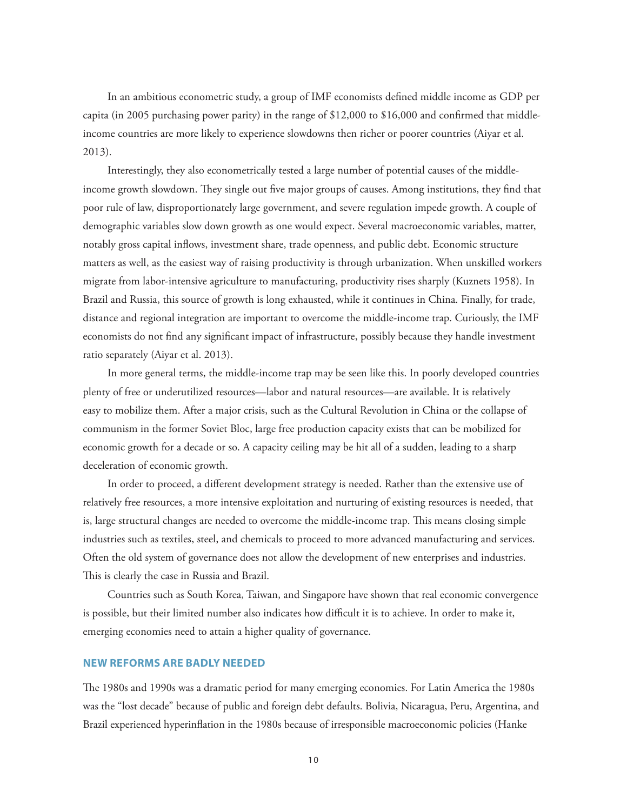In an ambitious econometric study, a group of IMF economists defined middle income as GDP per capita (in 2005 purchasing power parity) in the range of  $$12,000$  to  $$16,000$  and confirmed that middleincome countries are more likely to experience slowdowns then richer or poorer countries (Aiyar et al. 2013).

Interestingly, they also econometrically tested a large number of potential causes of the middleincome growth slowdown. They single out five major groups of causes. Among institutions, they find that poor rule of law, disproportionately large government, and severe regulation impede growth. A couple of demographic variables slow down growth as one would expect. Several macroeconomic variables, matter, notably gross capital inflows, investment share, trade openness, and public debt. Economic structure matters as well, as the easiest way of raising productivity is through urbanization. When unskilled workers migrate from labor-intensive agriculture to manufacturing, productivity rises sharply (Kuznets 1958). In Brazil and Russia, this source of growth is long exhausted, while it continues in China. Finally, for trade, distance and regional integration are important to overcome the middle-income trap. Curiously, the IMF economists do not find any significant impact of infrastructure, possibly because they handle investment ratio separately (Aiyar et al. 2013).

In more general terms, the middle-income trap may be seen like this. In poorly developed countries plenty of free or underutilized resources—labor and natural resources—are available. It is relatively easy to mobilize them. After a major crisis, such as the Cultural Revolution in China or the collapse of communism in the former Soviet Bloc, large free production capacity exists that can be mobilized for economic growth for a decade or so. A capacity ceiling may be hit all of a sudden, leading to a sharp deceleration of economic growth.

In order to proceed, a different development strategy is needed. Rather than the extensive use of relatively free resources, a more intensive exploitation and nurturing of existing resources is needed, that is, large structural changes are needed to overcome the middle-income trap. This means closing simple industries such as textiles, steel, and chemicals to proceed to more advanced manufacturing and services. Often the old system of governance does not allow the development of new enterprises and industries. This is clearly the case in Russia and Brazil.

Countries such as South Korea, Taiwan, and Singapore have shown that real economic convergence is possible, but their limited number also indicates how difficult it is to achieve. In order to make it, emerging economies need to attain a higher quality of governance.

#### **NEW REFORMS ARE BADLY NEEDED**

The 1980s and 1990s was a dramatic period for many emerging economies. For Latin America the 1980s was the "lost decade" because of public and foreign debt defaults. Bolivia, Nicaragua, Peru, Argentina, and Brazil experienced hyperinflation in the 1980s because of irresponsible macroeconomic policies (Hanke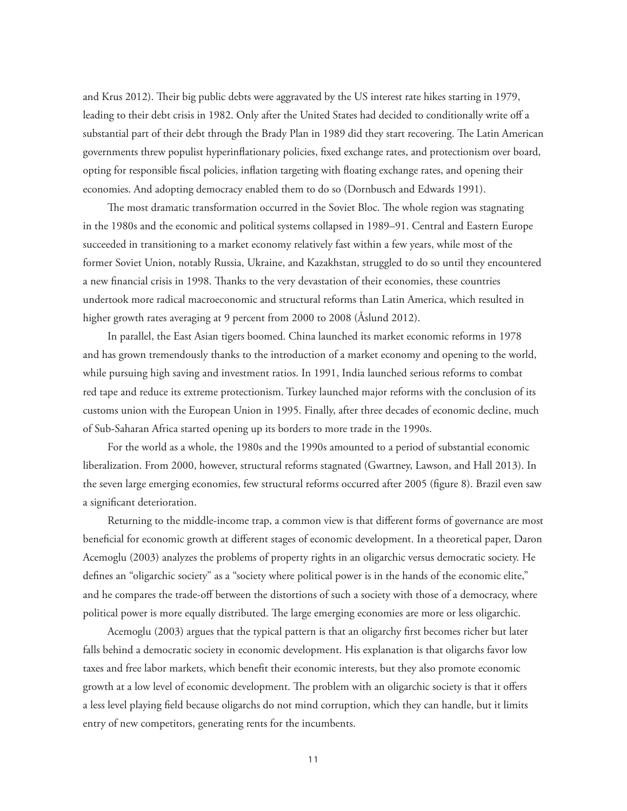and Krus 2012). Their big public debts were aggravated by the US interest rate hikes starting in 1979, leading to their debt crisis in 1982. Only after the United States had decided to conditionally write off a substantial part of their debt through the Brady Plan in 1989 did they start recovering. The Latin American governments threw populist hyperinflationary policies, fixed exchange rates, and protectionism over board, opting for responsible fiscal policies, inflation targeting with floating exchange rates, and opening their economies. And adopting democracy enabled them to do so (Dornbusch and Edwards 1991).

The most dramatic transformation occurred in the Soviet Bloc. The whole region was stagnating in the 1980s and the economic and political systems collapsed in 1989–91. Central and Eastern Europe succeeded in transitioning to a market economy relatively fast within a few years, while most of the former Soviet Union, notably Russia, Ukraine, and Kazakhstan, struggled to do so until they encountered a new financial crisis in 1998. Thanks to the very devastation of their economies, these countries undertook more radical macroeconomic and structural reforms than Latin America, which resulted in higher growth rates averaging at 9 percent from 2000 to 2008 (Åslund 2012).

In parallel, the East Asian tigers boomed. China launched its market economic reforms in 1978 and has grown tremendously thanks to the introduction of a market economy and opening to the world, while pursuing high saving and investment ratios. In 1991, India launched serious reforms to combat red tape and reduce its extreme protectionism. Turkey launched major reforms with the conclusion of its customs union with the European Union in 1995. Finally, after three decades of economic decline, much of Sub-Saharan Africa started opening up its borders to more trade in the 1990s.

For the world as a whole, the 1980s and the 1990s amounted to a period of substantial economic liberalization. From 2000, however, structural reforms stagnated (Gwartney, Lawson, and Hall 2013). In the seven large emerging economies, few structural reforms occurred after 2005 (figure 8). Brazil even saw a significant deterioration.

Returning to the middle-income trap, a common view is that different forms of governance are most beneficial for economic growth at different stages of economic development. In a theoretical paper, Daron Acemoglu (2003) analyzes the problems of property rights in an oligarchic versus democratic society. He defines an "oligarchic society" as a "society where political power is in the hands of the economic elite," and he compares the trade-off between the distortions of such a society with those of a democracy, where political power is more equally distributed. The large emerging economies are more or less oligarchic.

Acemoglu (2003) argues that the typical pattern is that an oligarchy first becomes richer but later falls behind a democratic society in economic development. His explanation is that oligarchs favor low taxes and free labor markets, which benefit their economic interests, but they also promote economic growth at a low level of economic development. The problem with an oligarchic society is that it offers a less level playing field because oligarchs do not mind corruption, which they can handle, but it limits entry of new competitors, generating rents for the incumbents.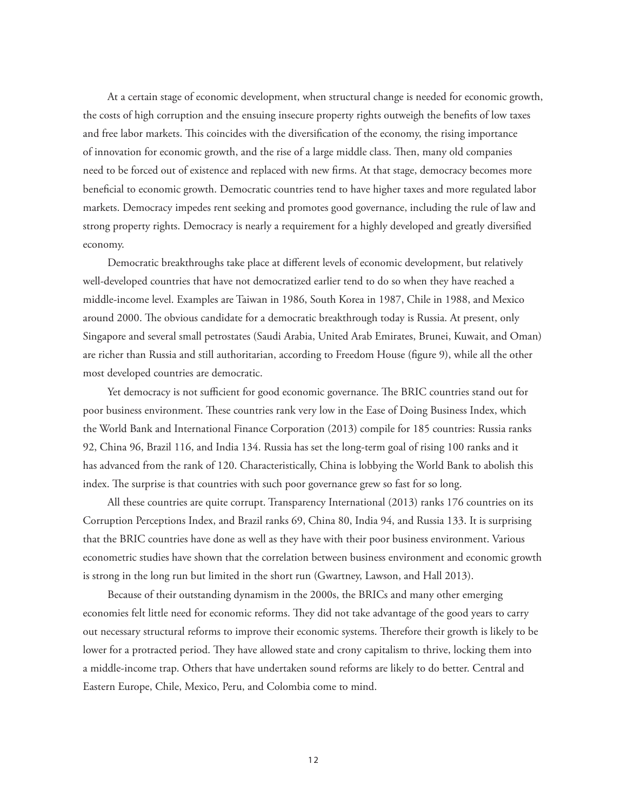At a certain stage of economic development, when structural change is needed for economic growth, the costs of high corruption and the ensuing insecure property rights outweigh the benefits of low taxes and free labor markets. This coincides with the diversification of the economy, the rising importance of innovation for economic growth, and the rise of a large middle class. Then, many old companies need to be forced out of existence and replaced with new firms. At that stage, democracy becomes more beneficial to economic growth. Democratic countries tend to have higher taxes and more regulated labor markets. Democracy impedes rent seeking and promotes good governance, including the rule of law and strong property rights. Democracy is nearly a requirement for a highly developed and greatly diversified economy.

Democratic breakthroughs take place at different levels of economic development, but relatively well-developed countries that have not democratized earlier tend to do so when they have reached a middle-income level. Examples are Taiwan in 1986, South Korea in 1987, Chile in 1988, and Mexico around 2000. The obvious candidate for a democratic breakthrough today is Russia. At present, only Singapore and several small petrostates (Saudi Arabia, United Arab Emirates, Brunei, Kuwait, and Oman) are richer than Russia and still authoritarian, according to Freedom House (figure 9), while all the other most developed countries are democratic.

Yet democracy is not sufficient for good economic governance. The BRIC countries stand out for poor business environment. These countries rank very low in the Ease of Doing Business Index, which the World Bank and International Finance Corporation (2013) compile for 185 countries: Russia ranks 92, China 96, Brazil 116, and India 134. Russia has set the long-term goal of rising 100 ranks and it has advanced from the rank of 120. Characteristically, China is lobbying the World Bank to abolish this index. The surprise is that countries with such poor governance grew so fast for so long.

All these countries are quite corrupt. Transparency International (2013) ranks 176 countries on its Corruption Perceptions Index, and Brazil ranks 69, China 80, India 94, and Russia 133. It is surprising that the BRIC countries have done as well as they have with their poor business environment. Various econometric studies have shown that the correlation between business environment and economic growth is strong in the long run but limited in the short run (Gwartney, Lawson, and Hall 2013).

Because of their outstanding dynamism in the 2000s, the BRICs and many other emerging economies felt little need for economic reforms. They did not take advantage of the good years to carry out necessary structural reforms to improve their economic systems. Therefore their growth is likely to be lower for a protracted period. They have allowed state and crony capitalism to thrive, locking them into a middle-income trap. Others that have undertaken sound reforms are likely to do better. Central and Eastern Europe, Chile, Mexico, Peru, and Colombia come to mind.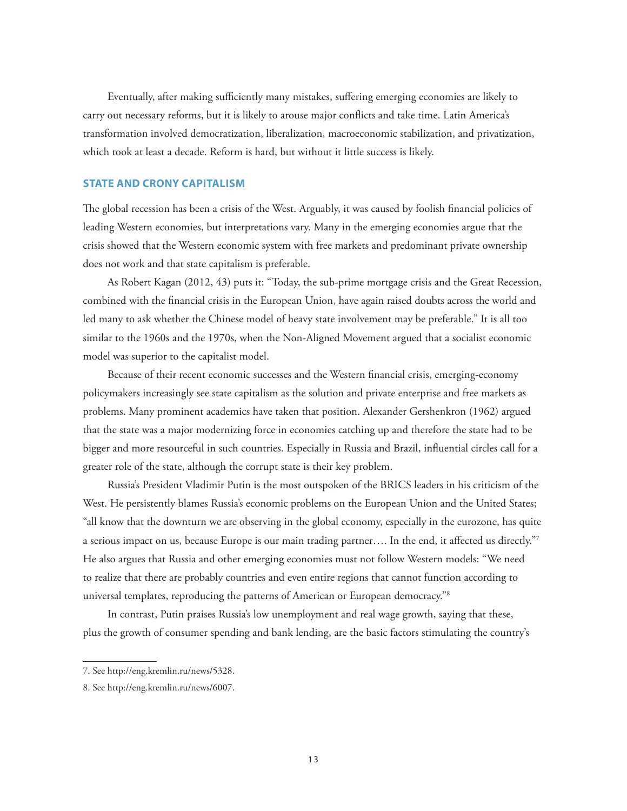Eventually, after making sufficiently many mistakes, suffering emerging economies are likely to carry out necessary reforms, but it is likely to arouse major conflicts and take time. Latin America's transformation involved democratization, liberalization, macroeconomic stabilization, and privatization, which took at least a decade. Reform is hard, but without it little success is likely.

#### **STATE AND CRONY CAPITALISM**

The global recession has been a crisis of the West. Arguably, it was caused by foolish financial policies of leading Western economies, but interpretations vary. Many in the emerging economies argue that the crisis showed that the Western economic system with free markets and predominant private ownership does not work and that state capitalism is preferable.

As Robert Kagan (2012, 43) puts it: "Today, the sub-prime mortgage crisis and the Great Recession, combined with the financial crisis in the European Union, have again raised doubts across the world and led many to ask whether the Chinese model of heavy state involvement may be preferable." It is all too similar to the 1960s and the 1970s, when the Non-Aligned Movement argued that a socialist economic model was superior to the capitalist model.

Because of their recent economic successes and the Western financial crisis, emerging-economy policymakers increasingly see state capitalism as the solution and private enterprise and free markets as problems. Many prominent academics have taken that position. Alexander Gershenkron (1962) argued that the state was a major modernizing force in economies catching up and therefore the state had to be bigger and more resourceful in such countries. Especially in Russia and Brazil, influential circles call for a greater role of the state, although the corrupt state is their key problem.

Russia's President Vladimir Putin is the most outspoken of the BRICS leaders in his criticism of the West. He persistently blames Russia's economic problems on the European Union and the United States; "all know that the downturn we are observing in the global economy, especially in the eurozone, has quite a serious impact on us, because Europe is our main trading partner.... In the end, it affected us directly."7 He also argues that Russia and other emerging economies must not follow Western models: "We need to realize that there are probably countries and even entire regions that cannot function according to universal templates, reproducing the patterns of American or European democracy."8

In contrast, Putin praises Russia's low unemployment and real wage growth, saying that these, plus the growth of consumer spending and bank lending, are the basic factors stimulating the country's

<sup>7.</sup> See http://eng.kremlin.ru/news/5328.

<sup>8.</sup> See http://eng.kremlin.ru/news/6007.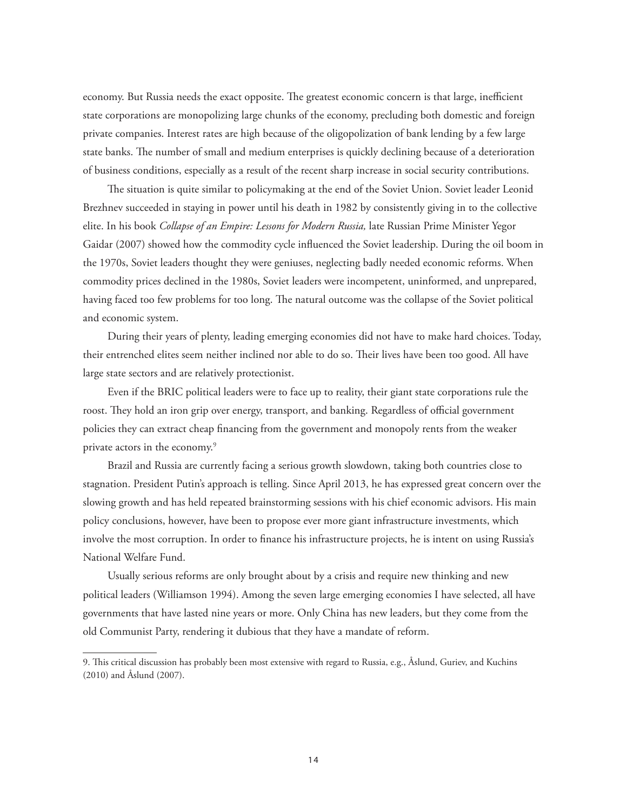economy. But Russia needs the exact opposite. The greatest economic concern is that large, inefficient state corporations are monopolizing large chunks of the economy, precluding both domestic and foreign private companies. Interest rates are high because of the oligopolization of bank lending by a few large state banks. The number of small and medium enterprises is quickly declining because of a deterioration of business conditions, especially as a result of the recent sharp increase in social security contributions.

The situation is quite similar to policymaking at the end of the Soviet Union. Soviet leader Leonid Brezhnev succeeded in staying in power until his death in 1982 by consistently giving in to the collective elite. In his book *Collapse of an Empire: Lessons for Modern Russia,* late Russian Prime Minister Yegor Gaidar (2007) showed how the commodity cycle influenced the Soviet leadership. During the oil boom in the 1970s, Soviet leaders thought they were geniuses, neglecting badly needed economic reforms. When commodity prices declined in the 1980s, Soviet leaders were incompetent, uninformed, and unprepared, having faced too few problems for too long. The natural outcome was the collapse of the Soviet political and economic system.

During their years of plenty, leading emerging economies did not have to make hard choices. Today, their entrenched elites seem neither inclined nor able to do so. Their lives have been too good. All have large state sectors and are relatively protectionist.

Even if the BRIC political leaders were to face up to reality, their giant state corporations rule the roost. They hold an iron grip over energy, transport, and banking. Regardless of official government policies they can extract cheap financing from the government and monopoly rents from the weaker private actors in the economy.9

Brazil and Russia are currently facing a serious growth slowdown, taking both countries close to stagnation. President Putin's approach is telling. Since April 2013, he has expressed great concern over the slowing growth and has held repeated brainstorming sessions with his chief economic advisors. His main policy conclusions, however, have been to propose ever more giant infrastructure investments, which involve the most corruption. In order to finance his infrastructure projects, he is intent on using Russia's National Welfare Fund.

Usually serious reforms are only brought about by a crisis and require new thinking and new political leaders (Williamson 1994). Among the seven large emerging economies I have selected, all have governments that have lasted nine years or more. Only China has new leaders, but they come from the old Communist Party, rendering it dubious that they have a mandate of reform.

<sup>9.</sup> This critical discussion has probably been most extensive with regard to Russia, e.g., Åslund, Guriev, and Kuchins (2010) and Åslund (2007).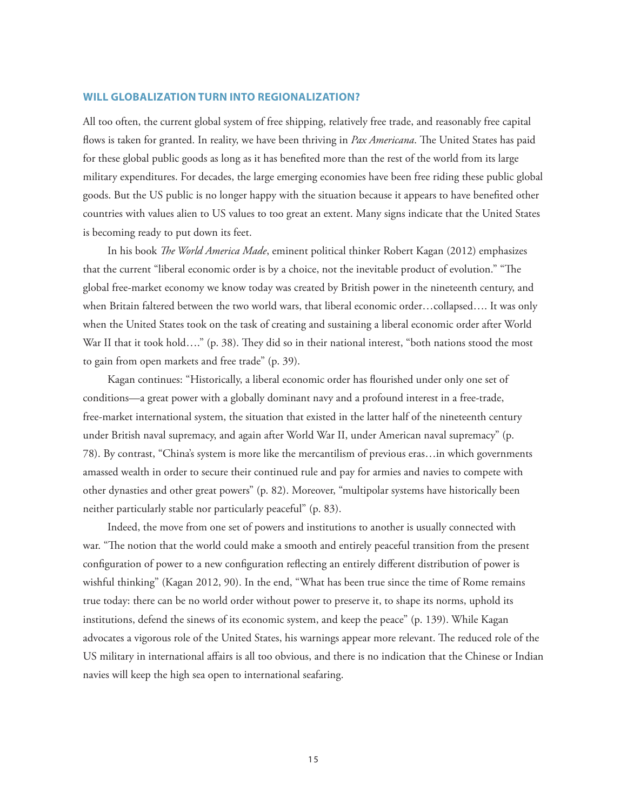#### **WILL GLOBALIZATION TURN INTO REGIONALIZATION?**

All too often, the current global system of free shipping, relatively free trade, and reasonably free capital flows is taken for granted. In reality, we have been thriving in *Pax Americana*. The United States has paid for these global public goods as long as it has benefited more than the rest of the world from its large military expenditures. For decades, the large emerging economies have been free riding these public global goods. But the US public is no longer happy with the situation because it appears to have benefited other countries with values alien to US values to too great an extent. Many signs indicate that the United States is becoming ready to put down its feet.

In his book *The World America Made*, eminent political thinker Robert Kagan (2012) emphasizes that the current "liberal economic order is by a choice, not the inevitable product of evolution." "The global free-market economy we know today was created by British power in the nineteenth century, and when Britain faltered between the two world wars, that liberal economic order…collapsed…. It was only when the United States took on the task of creating and sustaining a liberal economic order after World War II that it took hold...." (p. 38). They did so in their national interest, "both nations stood the most to gain from open markets and free trade" (p. 39).

Kagan continues: "Historically, a liberal economic order has flourished under only one set of conditions—a great power with a globally dominant navy and a profound interest in a free-trade, free-market international system, the situation that existed in the latter half of the nineteenth century under British naval supremacy, and again after World War II, under American naval supremacy" (p. 78). By contrast, "China's system is more like the mercantilism of previous eras…in which governments amassed wealth in order to secure their continued rule and pay for armies and navies to compete with other dynasties and other great powers" (p. 82). Moreover, "multipolar systems have historically been neither particularly stable nor particularly peaceful" (p. 83).

Indeed, the move from one set of powers and institutions to another is usually connected with war. "The notion that the world could make a smooth and entirely peaceful transition from the present configuration of power to a new configuration reflecting an entirely different distribution of power is wishful thinking" (Kagan 2012, 90). In the end, "What has been true since the time of Rome remains true today: there can be no world order without power to preserve it, to shape its norms, uphold its institutions, defend the sinews of its economic system, and keep the peace" (p. 139). While Kagan advocates a vigorous role of the United States, his warnings appear more relevant. The reduced role of the US military in international affairs is all too obvious, and there is no indication that the Chinese or Indian navies will keep the high sea open to international seafaring.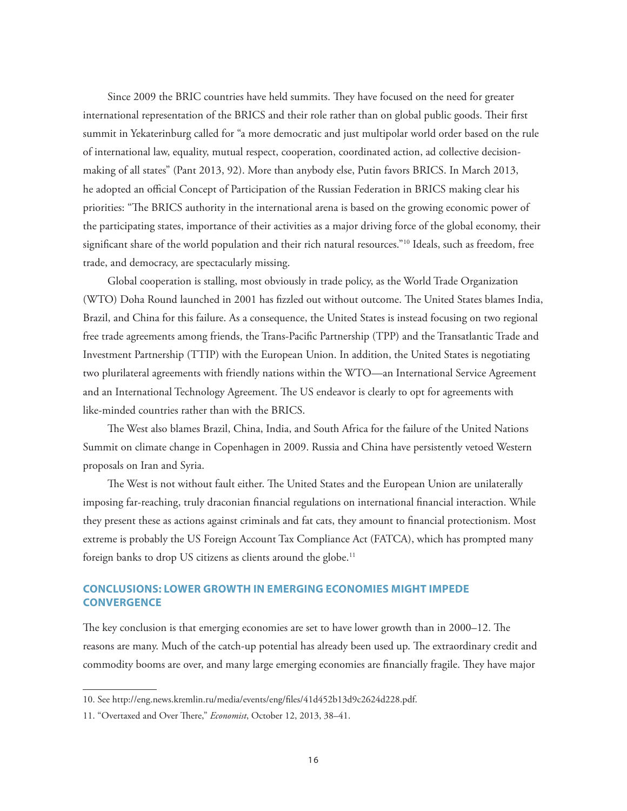Since 2009 the BRIC countries have held summits. They have focused on the need for greater international representation of the BRICS and their role rather than on global public goods. Their first summit in Yekaterinburg called for "a more democratic and just multipolar world order based on the rule of international law, equality, mutual respect, cooperation, coordinated action, ad collective decisionmaking of all states" (Pant 2013, 92). More than anybody else, Putin favors BRICS. In March 2013, he adopted an official Concept of Participation of the Russian Federation in BRICS making clear his priorities: "The BRICS authority in the international arena is based on the growing economic power of the participating states, importance of their activities as a major driving force of the global economy, their significant share of the world population and their rich natural resources."<sup>10</sup> Ideals, such as freedom, free trade, and democracy, are spectacularly missing.

Global cooperation is stalling, most obviously in trade policy, as the World Trade Organization (WTO) Doha Round launched in 2001 has fizzled out without outcome. The United States blames India, Brazil, and China for this failure. As a consequence, the United States is instead focusing on two regional free trade agreements among friends, the Trans-Pacific Partnership (TPP) and the Transatlantic Trade and Investment Partnership (TTIP) with the European Union. In addition, the United States is negotiating two plurilateral agreements with friendly nations within the WTO—an International Service Agreement and an International Technology Agreement. The US endeavor is clearly to opt for agreements with like-minded countries rather than with the BRICS.

The West also blames Brazil, China, India, and South Africa for the failure of the United Nations Summit on climate change in Copenhagen in 2009. Russia and China have persistently vetoed Western proposals on Iran and Syria.

The West is not without fault either. The United States and the European Union are unilaterally imposing far-reaching, truly draconian financial regulations on international financial interaction. While they present these as actions against criminals and fat cats, they amount to financial protectionism. Most extreme is probably the US Foreign Account Tax Compliance Act (FATCA), which has prompted many foreign banks to drop US citizens as clients around the globe.<sup>11</sup>

# **CONCLUSIONS: LOWER GROWTH IN EMERGING ECONOMIES MIGHT IMPEDE CONVERGENCE**

The key conclusion is that emerging economies are set to have lower growth than in 2000–12. The reasons are many. Much of the catch-up potential has already been used up. The extraordinary credit and commodity booms are over, and many large emerging economies are financially fragile. They have major

<sup>10.</sup> Se[e http://eng.news.kremlin.ru/media/events/eng/fi les/41d452b13d9c2624d228.pdf.](http://eng.news.kremlin.ru/media/events/eng/files/41d452b13d9c2624d228.pdf)

<sup>11. &</sup>quot;Overtaxed and Over There," *Economist*, October 12, 2013, 38-41.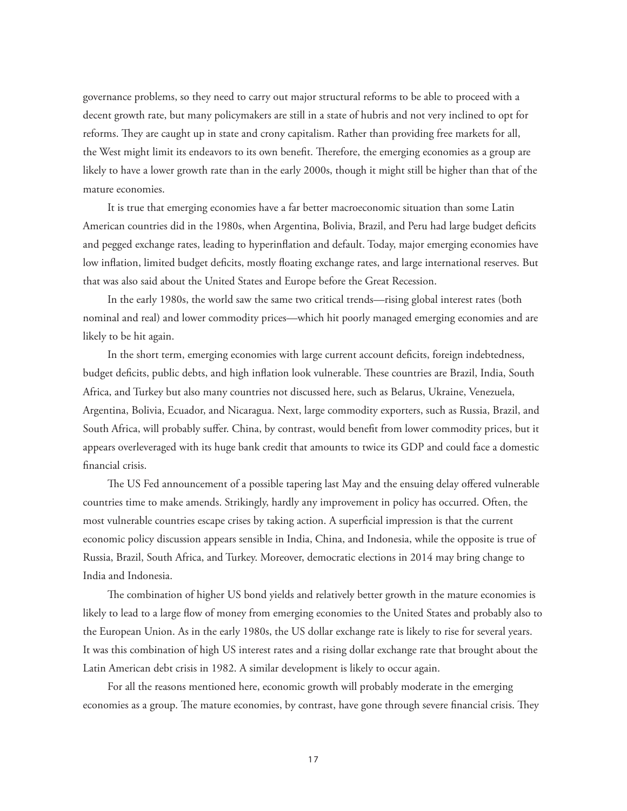governance problems, so they need to carry out major structural reforms to be able to proceed with a decent growth rate, but many policymakers are still in a state of hubris and not very inclined to opt for reforms. They are caught up in state and crony capitalism. Rather than providing free markets for all, the West might limit its endeavors to its own benefit. Therefore, the emerging economies as a group are likely to have a lower growth rate than in the early 2000s, though it might still be higher than that of the mature economies.

It is true that emerging economies have a far better macroeconomic situation than some Latin American countries did in the 1980s, when Argentina, Bolivia, Brazil, and Peru had large budget deficits and pegged exchange rates, leading to hyperinflation and default. Today, major emerging economies have low inflation, limited budget deficits, mostly floating exchange rates, and large international reserves. But that was also said about the United States and Europe before the Great Recession.

In the early 1980s, the world saw the same two critical trends—rising global interest rates (both nominal and real) and lower commodity prices—which hit poorly managed emerging economies and are likely to be hit again.

In the short term, emerging economies with large current account deficits, foreign indebtedness, budget deficits, public debts, and high inflation look vulnerable. These countries are Brazil, India, South Africa, and Turkey but also many countries not discussed here, such as Belarus, Ukraine, Venezuela, Argentina, Bolivia, Ecuador, and Nicaragua. Next, large commodity exporters, such as Russia, Brazil, and South Africa, will probably suffer. China, by contrast, would benefit from lower commodity prices, but it appears overleveraged with its huge bank credit that amounts to twice its GDP and could face a domestic financial crisis.

The US Fed announcement of a possible tapering last May and the ensuing delay offered vulnerable countries time to make amends. Strikingly, hardly any improvement in policy has occurred. Often, the most vulnerable countries escape crises by taking action. A superficial impression is that the current economic policy discussion appears sensible in India, China, and Indonesia, while the opposite is true of Russia, Brazil, South Africa, and Turkey. Moreover, democratic elections in 2014 may bring change to India and Indonesia.

The combination of higher US bond yields and relatively better growth in the mature economies is likely to lead to a large flow of money from emerging economies to the United States and probably also to the European Union. As in the early 1980s, the US dollar exchange rate is likely to rise for several years. It was this combination of high US interest rates and a rising dollar exchange rate that brought about the Latin American debt crisis in 1982. A similar development is likely to occur again.

For all the reasons mentioned here, economic growth will probably moderate in the emerging economies as a group. The mature economies, by contrast, have gone through severe financial crisis. They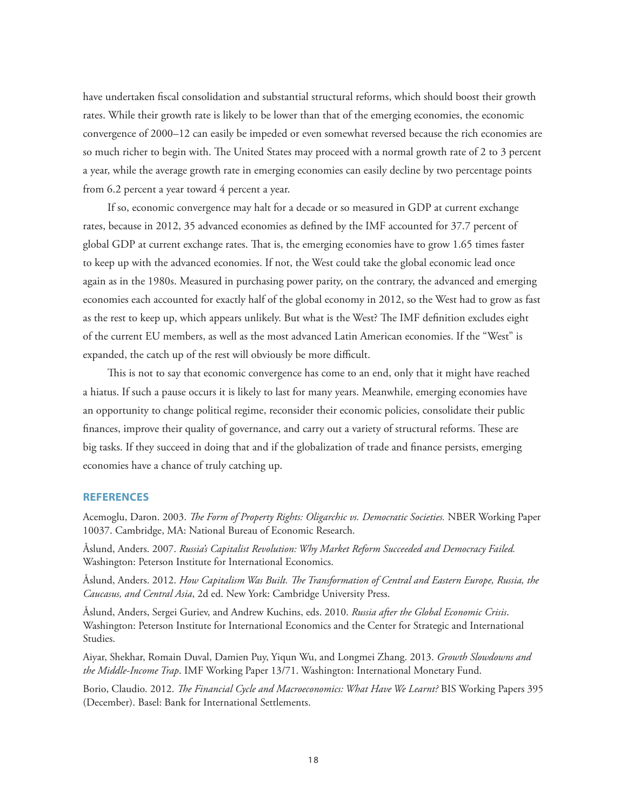have undertaken fiscal consolidation and substantial structural reforms, which should boost their growth rates. While their growth rate is likely to be lower than that of the emerging economies, the economic convergence of 2000–12 can easily be impeded or even somewhat reversed because the rich economies are so much richer to begin with. The United States may proceed with a normal growth rate of 2 to 3 percent a year, while the average growth rate in emerging economies can easily decline by two percentage points from 6.2 percent a year toward 4 percent a year.

If so, economic convergence may halt for a decade or so measured in GDP at current exchange rates, because in 2012, 35 advanced economies as defined by the IMF accounted for 37.7 percent of global GDP at current exchange rates. That is, the emerging economies have to grow 1.65 times faster to keep up with the advanced economies. If not, the West could take the global economic lead once again as in the 1980s. Measured in purchasing power parity, on the contrary, the advanced and emerging economies each accounted for exactly half of the global economy in 2012, so the West had to grow as fast as the rest to keep up, which appears unlikely. But what is the West? The IMF definition excludes eight of the current EU members, as well as the most advanced Latin American economies. If the "West" is expanded, the catch up of the rest will obviously be more difficult.

This is not to say that economic convergence has come to an end, only that it might have reached a hiatus. If such a pause occurs it is likely to last for many years. Meanwhile, emerging economies have an opportunity to change political regime, reconsider their economic policies, consolidate their public finances, improve their quality of governance, and carry out a variety of structural reforms. These are big tasks. If they succeed in doing that and if the globalization of trade and finance persists, emerging economies have a chance of truly catching up.

#### **REFERENCES**

Acemoglu, Daron. 2003. *The Form of Property Rights: Oligarchic vs. Democratic Societies.* NBER Working Paper 10037. Cambridge, MA: National Bureau of Economic Research.

Åslund, Anders. 2007. *Russia's Capitalist Revolution: Why Market Reform Succeeded and Democracy Failed.* Washington: Peterson Institute for International Economics.

Åslund, Anders. 2012. *How Capitalism Was Built. The Transformation of Central and Eastern Europe, Russia, the Caucasus, and Central Asia*, 2d ed. New York: Cambridge University Press.

Åslund, Anders, Sergei Guriev, and Andrew Kuchins, eds. 2010. *Russia after the Global Economic Crisis*. Washington: Peterson Institute for International Economics and the Center for Strategic and International Studies.

Aiyar, Shekhar, Romain Duval, Damien Puy, Yiqun Wu, and Longmei Zhang. 2013. *Growth Slowdowns and the Middle-Income Trap*. IMF Working Paper 13/71. Washington: International Monetary Fund.

Borio, Claudio. 2012. *The Financial Cycle and Macroeconomics: What Have We Learnt?* BIS Working Papers 395 (December). Basel: Bank for International Settlements.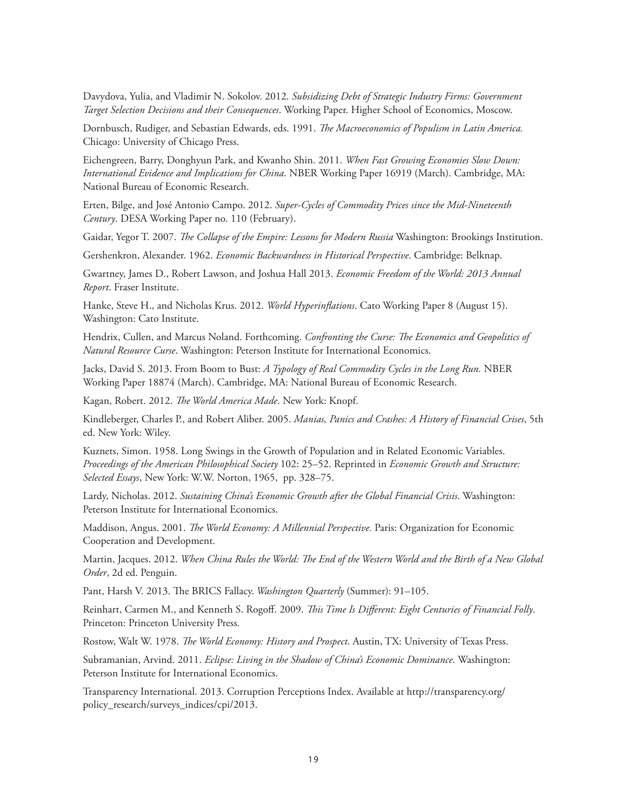Davydova, Yulia, and Vladimir N. Sokolov. 2012. *Subsidizing Debt of Strategic Industry Firms: Government Target Selection Decisions and their Consequences*. Working Paper. Higher School of Economics, Moscow.

Dornbusch, Rudiger, and Sebastian Edwards, eds. 1991. *The Macroeconomics of Populism in Latin America*. Chicago: University of Chicago Press.

Eichengreen, Barry, Donghyun Park, and Kwanho Shin. 2011. *When Fast Growing Economies Slow Down: International Evidence and Implications for China*. NBER Working Paper 16919 (March). Cambridge, MA: National Bureau of Economic Research.

Erten, Bilge, and José Antonio Campo. 2012. *Super-Cycles of Commodity Prices since the Mid-Nineteenth Century*. DESA Working Paper no. 110 (February).

Gaidar, Yegor T. 2007. *The Collapse of the Empire: Lessons for Modern Russia* Washington: Brookings Institution.

Gershenkron, Alexander. 1962. *Economic Backwardness in Historical Perspective*. Cambridge: Belknap.

Gwartney, James D., Robert Lawson, and Joshua Hall 2013. *Economic Freedom of the World: 2013 Annual Report*. Fraser Institute.

Hanke, Steve H., and Nicholas Krus. 2012. *World Hyperinflations*. Cato Working Paper 8 (August 15). Washington: Cato Institute.

Hendrix, Cullen, and Marcus Noland. Forthcoming. *Confronting the Curse: The Economics and Geopolitics of Natural Resource Curse*. Washington: Peterson Institute for International Economics.

Jacks, David S. 2013. From Boom to Bust: *A Typology of Real Commodity Cycles in the Long Run.* NBER Working Paper 18874 (March). Cambridge, MA: National Bureau of Economic Research.

Kagan, Robert. 2012. *The World America Made*. New York: Knopf.

Kindleberger, Charles P., and Robert Aliber. 2005. *Manias, Panics and Crashes: A History of Financial Crises*, 5th ed. New York: Wiley.

Kuznets, Simon. 1958. Long Swings in the Growth of Population and in Related Economic Variables. *Proceedings of the American Philosophical Society* 102: 25–52. Reprinted in *Economic Growth and Structure: Selected Essays*, New York: W.W. Norton, 1965, pp. 328–75.

Lardy, Nicholas. 2012. *Sustaining China's Economic Growth after the Global Financial Crisis*. Washington: Peterson Institute for International Economics.

Maddison, Angus. 2001. *The World Economy: A Millennial Perspective*. Paris: Organization for Economic Cooperation and Development.

Martin, Jacques. 2012. *When China Rules the World: The End of the Western World and the Birth of a New Global Order*, 2d ed. Penguin.

Pant, Harsh V. 2013. The BRICS Fallacy. *Washington Quarterly* (Summer): 91–105.

Reinhart, Carmen M., and Kenneth S. Rogoff. 2009. *This Time Is Different: Eight Centuries of Financial Folly*. Princeton: Princeton University Press.

Rostow, Walt W. 1978. *The World Economy: History and Prospect*. Austin, TX: University of Texas Press.

Subramanian, Arvind. 2011. *Eclipse: Living in the Shadow of China's Economic Dominance*. Washington: Peterson Institute for International Economics.

[Transparency International. 2013. Corruption Perceptions Index. Available at http://transparency.org/](http://transparency.org/policy_research/surveys_indices/cpi/2013) policy\_research/surveys\_indices/cpi/2013.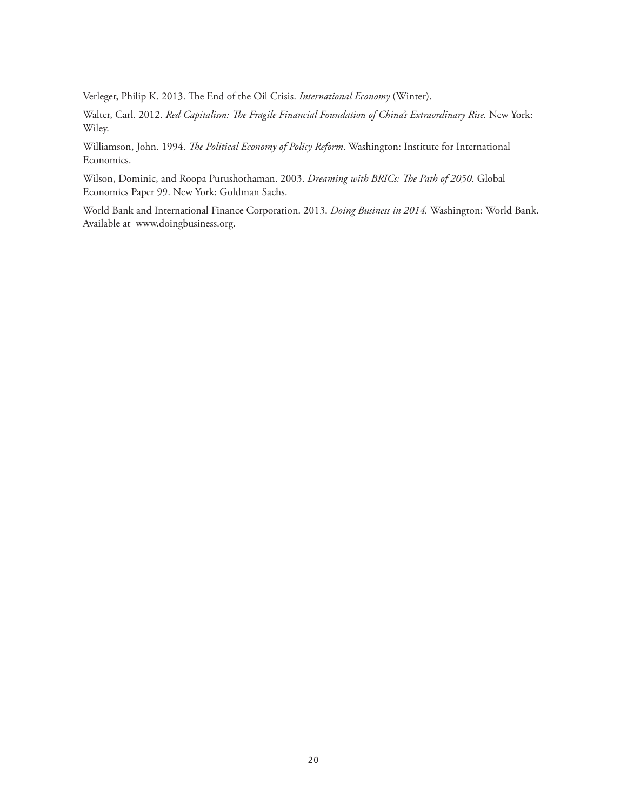Verleger, Philip K. 2013. The End of the Oil Crisis. *International Economy* (Winter).

Walter, Carl. 2012. *Red Capitalism: The Fragile Financial Foundation of China's Extraordinary Rise*. New York: Wiley.

Williamson, John. 1994. *The Political Economy of Policy Reform*. Washington: Institute for International Economics.

Wilson, Dominic, and Roopa Purushothaman. 2003. *Dreaming with BRICs: The Path of 2050*. Global Economics Paper 99. New York: Goldman Sachs.

World Bank and International Finance Corporation. 2013. *Doing Business in 2014.* Washington: World Bank. Available at www.doingbusiness.org.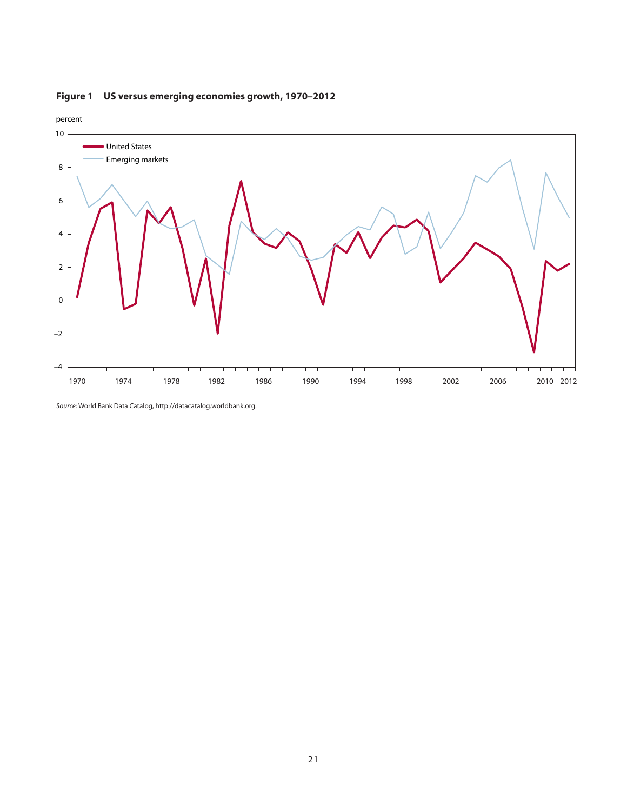

# **Figure 1 US versus emerging economies growth, 1970–2012**

Source: World Bank Data Catalog, http://datacatalog.worldbank.org.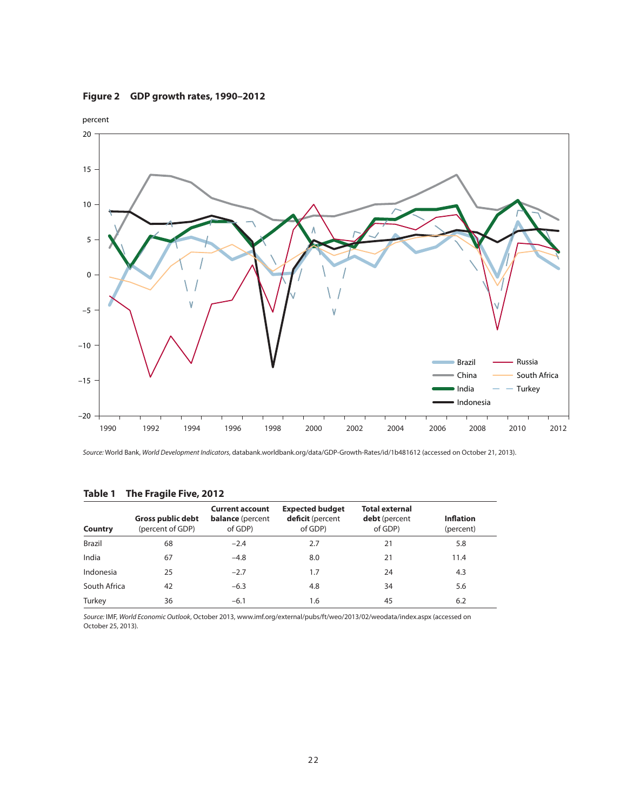### **Figure 2 GDP growth rates, 1990–2012**



Source: World Bank, World Development Indicators, databank.worldbank.org/data/GDP-Growth-Rates/id/1b481612 (accessed on October 21, 2013).

| <b>Country</b> | Gross public debt<br>(percent of GDP) | <b>Current account</b><br><b>balance</b> (percent<br>of GDP) | <b>Expected budget</b><br>deficit (percent<br>of GDP) | <b>Total external</b><br><b>debt</b> (percent<br>of GDP) | <b>Inflation</b><br>(percent) |
|----------------|---------------------------------------|--------------------------------------------------------------|-------------------------------------------------------|----------------------------------------------------------|-------------------------------|
| <b>Brazil</b>  | 68                                    | $-2.4$                                                       | 2.7                                                   | 21                                                       | 5.8                           |
| India          | 67                                    | $-4.8$                                                       | 8.0                                                   | 21                                                       | 11.4                          |
| Indonesia      | 25                                    | $-2.7$                                                       | 1.7                                                   | 24                                                       | 4.3                           |
| South Africa   | 42                                    | $-6.3$                                                       | 4.8                                                   | 34                                                       | 5.6                           |
| Turkey         | 36                                    | $-6.1$                                                       | 1.6                                                   | 45                                                       | 6.2                           |

#### **Table 1 The Fragile Five, 2012**

Source: IMF, World Economic Outlook, October 2013, www.imf.org/external/pubs/ft/weo/2013/02/weodata/index.aspx (accessed on October 25, 2013).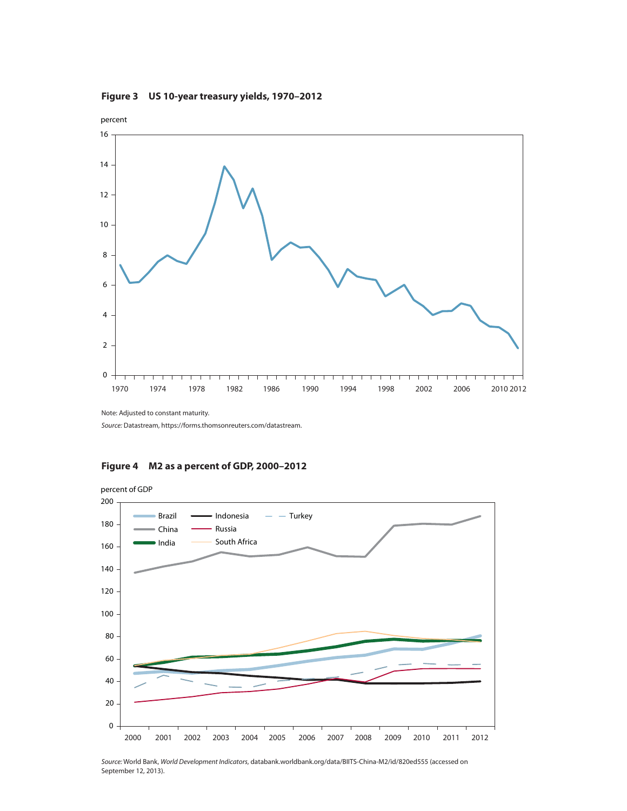**Figure 3 US 10-year treasury yields, 1970–2012**



Note: Adjusted to constant maturity.

Source: Datastream, https://forms.thomsonreuters.com/datastream.





23 Source: World Bank, World Development Indicators, databank.worldbank.org/data/BIITS-China-M2/id/820ed555 (accessed on September 12, 2013).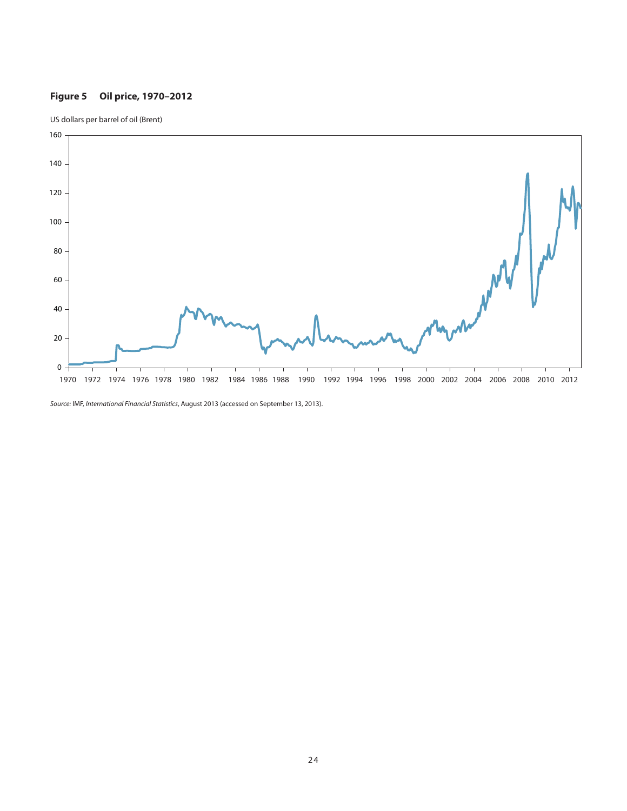# **Figure 5 Oil price, 1970–2012**





Source: IMF, International Financial Statistics, August 2013 (accessed on September 13, 2013).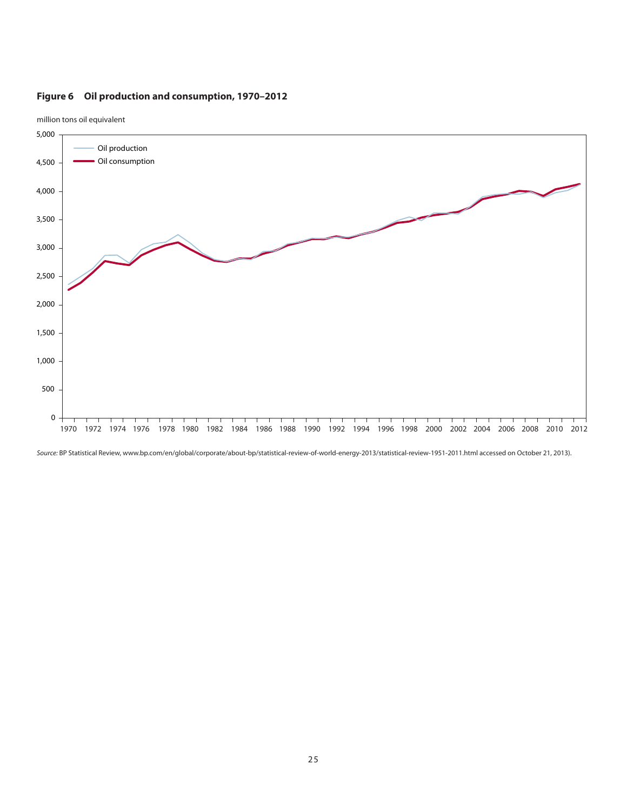# **Figure 6 Oil production and consumption, 1970–2012**



million tons oil equivalent

Source: BP Statistical Review, www.bp.com/en/global/corporate/about-bp/statistical-review-of-world-energy-2013/statistical-review-1951-2011.html accessed on October 21, 2013).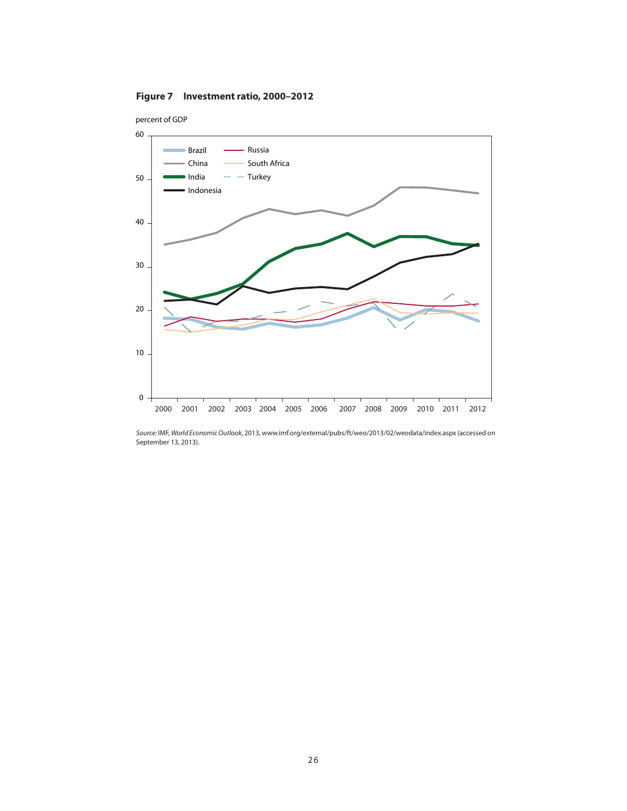



Source: IMF, World Economic Outlook, 2013, www.imf.org/external/pubs/ft/weo/2013/02/weodata/index.aspx (accessed on September 13, 2013).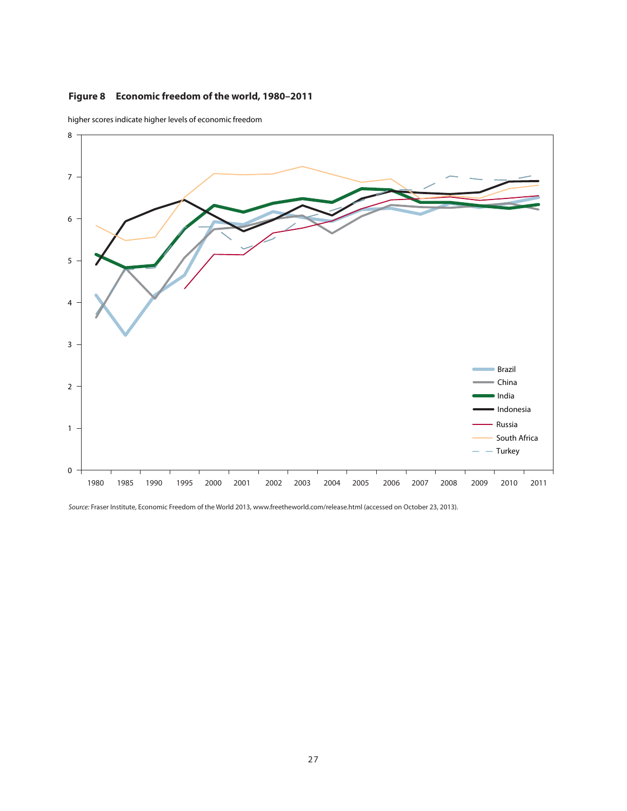# **Figure 8 Economic freedom of the world, 1980–2011**



higher scores indicate higher levels of economic freedom

Source: Fraser Institute, Economic Freedom of the World 2013, www.freetheworld.com/release.html (accessed on October 23, 2013).